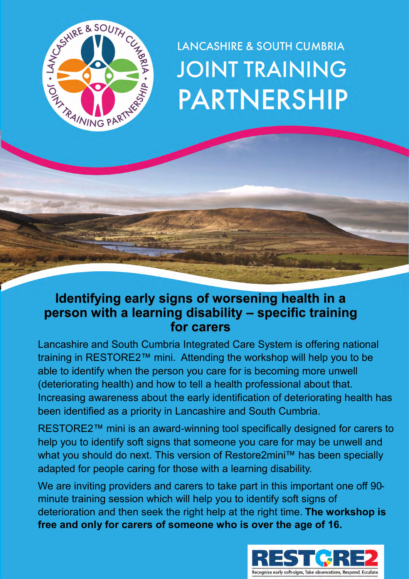

# **LANCASHIRE & SOUTH CUMBRIA JOINT TRAINING PARTNERSHIP**

# **Identifying early signs of worsening health in a person with a learning disability – specific training for carers**

Lancashire and South Cumbria Integrated Care System is offering national training in RESTORE2™ mini. Attending the workshop will help you to be able to identify when the person you care for is becoming more unwell (deteriorating health) and how to tell a health professional about that. Increasing awareness about the early identification of deteriorating health has been identified as a priority in Lancashire and South Cumbria.

RESTORE2™ mini is an award-winning tool specifically designed for carers to help you to identify soft signs that someone you care for may be unwell and what you should do next. This version of Restore2mini™ has been specially adapted for people caring for those with a learning disability.

We are inviting providers and carers to take part in this important one off 90 minute training session which will help you to identify soft signs of deterioration and then seek the right help at the right time. **The workshop is free and only for carers of someone who is over the age of 16.**